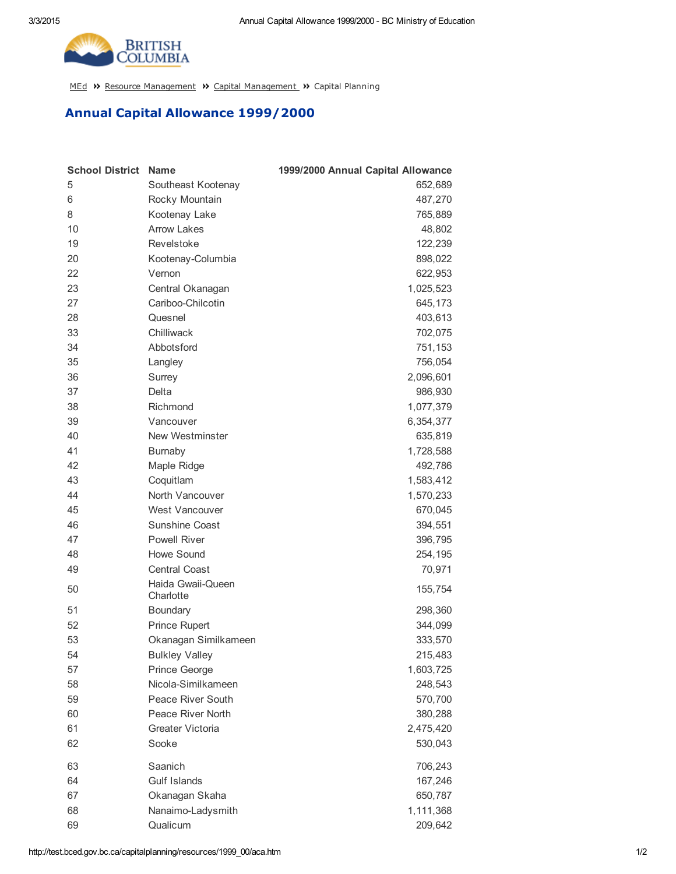

[MEd](http://test.bced.gov.bc.ca/) >> Resource [Management](http://test.bced.gov.bc.ca/departments/resource_man/capitalmanagement.htm) >> Capital Management >> Capital Planning

## Annual Capital Allowance 1999/2000

| <b>School District</b> | <b>Name</b>                    | 1999/2000 Annual Capital Allowance |
|------------------------|--------------------------------|------------------------------------|
| 5                      | Southeast Kootenay             | 652,689                            |
| 6                      | Rocky Mountain                 | 487,270                            |
| 8                      | Kootenay Lake                  | 765,889                            |
| 10                     | <b>Arrow Lakes</b>             | 48,802                             |
| 19                     | Revelstoke                     | 122,239                            |
| 20                     | Kootenay-Columbia              | 898,022                            |
| 22                     | Vernon                         | 622,953                            |
| 23                     | Central Okanagan               | 1,025,523                          |
| 27                     | Cariboo-Chilcotin              | 645,173                            |
| 28                     | Quesnel                        | 403,613                            |
| 33                     | Chilliwack                     | 702,075                            |
| 34                     | Abbotsford                     | 751,153                            |
| 35                     | Langley                        | 756,054                            |
| 36                     | Surrey                         | 2,096,601                          |
| 37                     | Delta                          | 986,930                            |
| 38                     | Richmond                       | 1,077,379                          |
| 39                     | Vancouver                      | 6,354,377                          |
| 40                     | New Westminster                | 635,819                            |
| 41                     | <b>Burnaby</b>                 | 1,728,588                          |
| 42                     | Maple Ridge                    | 492,786                            |
| 43                     | Coquitlam                      | 1,583,412                          |
| 44                     | North Vancouver                | 1,570,233                          |
| 45                     | West Vancouver                 | 670,045                            |
| 46                     | Sunshine Coast                 | 394,551                            |
| 47                     | <b>Powell River</b>            | 396,795                            |
| 48                     | <b>Howe Sound</b>              | 254,195                            |
| 49                     | <b>Central Coast</b>           | 70,971                             |
| 50                     | Haida Gwaii-Queen<br>Charlotte | 155,754                            |
| 51                     | Boundary                       | 298,360                            |
| 52                     | <b>Prince Rupert</b>           | 344,099                            |
| 53                     | Okanagan Similkameen           | 333,570                            |
| 54                     | <b>Bulkley Valley</b>          | 215,483                            |
| 57                     | Prince George                  | 1,603,725                          |
| 58                     | Nicola-Similkameen             | 248,543                            |
| 59                     | Peace River South              | 570,700                            |
| 60                     | Peace River North              | 380,288                            |
| 61                     | Greater Victoria               | 2,475,420                          |
| 62                     | Sooke                          | 530,043                            |
| 63                     | Saanich                        | 706,243                            |
| 64                     | Gulf Islands                   | 167,246                            |
| 67                     | Okanagan Skaha                 | 650,787                            |
| 68                     | Nanaimo-Ladysmith              | 1,111,368                          |
| 69                     | Qualicum                       | 209,642                            |